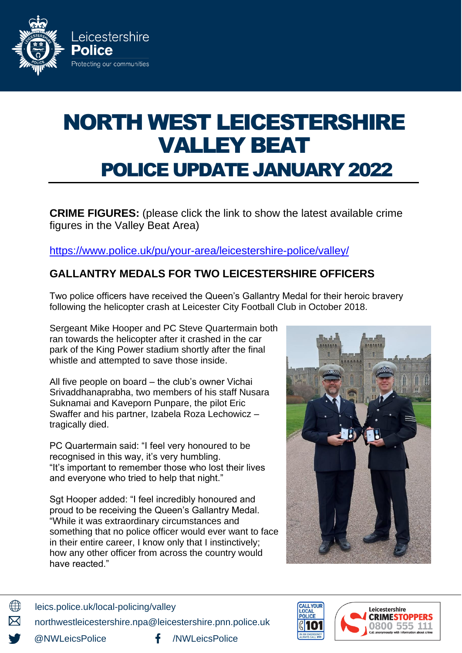

# NORTH WEST LEICESTERSHIRE VALLEY BEAT POLICE UPDATE JANUARY 2022

**CRIME FIGURES:** (please click the link to show the latest available crime figures in the Valley Beat Area)

https://www.police.uk/pu/your-area[/leicestershire-](https://www.police.uk/pu/your-area/leicestershire-police/valley/?tab=CrimeMap)police/valley/

## **GALLANTRY MEDALS FOR TWO LEICESTERSHIRE OFFICERS**

Two police officers have received the Queen's Gallantry Medal for their heroic bravery following the helicopter crash at Leicester City Football Club in October 2018.

Sergeant Mike Hooper and PC Steve Quartermain both ran towards the helicopter after it crashed in the car park of the King Power stadium shortly after the final whistle and attempted to save those inside.

All five people on board – the club's owner Vichai Srivaddhanaprabha, two members of his staff Nusara Suknamai and Kaveporn Punpare, the pilot Eric Swaffer and his partner, Izabela Roza Lechowicz – tragically died.

PC Quartermain said: "I feel very honoured to be recognised in this way, it's very humbling. "It's important to remember those who lost their lives and everyone who tried to help that night."

Sgt Hooper added: "I feel incredibly honoured and proud to be receiving the Queen's Gallantry Medal. "While it was extraordinary circumstances and something that no police officer would ever want to face in their entire career, I know only that I instinctively; how any other officer from across the country would have reacted."





∰ leics.police.uk/local-policing/valley northwestleicestershire.npa@leicestershire.pnn.police.uk

@NWLeicsPolice **f** /NWLeicsPolice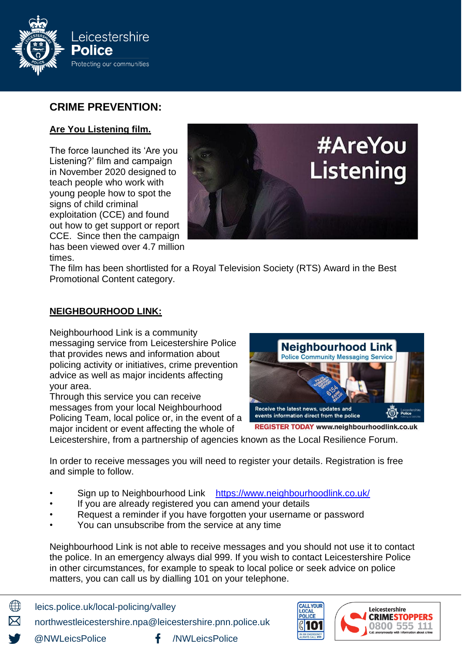

## **CRIME PREVENTION:**

#### **Are You Listening film.**

The force launched its 'Are you Listening?' film and campaign in November 2020 designed to teach people who work with young people how to spot the signs of child criminal exploitation (CCE) and found out how to get support or report CCE. Since then the campaign has been viewed over 4.7 million times.



The film has been shortlisted for a Royal Television Society (RTS) Award in the Best Promotional Content category.

#### **NEIGHBOURHOOD LINK:**

Neighbourhood Link is a community messaging service from Leicestershire Police that provides news and information about policing activity or initiatives, crime prevention advice as well as major incidents affecting your area.

Through this service you can receive messages from your local Neighbourhood Policing Team, local police or, in the event of a major incident or event affecting the whole of



**REGISTER TODAY www.neighbourhoodlink.co.uk** 

Leicestershire, from a partnership of agencies known as the Local Resilience Forum.

In order to receive messages you will need to register your details. Registration is free and simple to follow.

- Sign up to Neighbourhood Link <https://www.neighbourhoodlink.co.uk/>
- If you are already registered you can amend your details
- Request a reminder if you have forgotten your username or password
- You can unsubscribe from the service at any time

Neighbourhood Link is not able to receive messages and you should not use it to contact the police. In an emergency always dial 999. If you wish to contact Leicestershire Police in other circumstances, for example to speak to local police or seek advice on police matters, you can call us by dialling 101 on your telephone.

∰ leics.police.uk/local-policing/valley

northwestleicestershire.npa@leicestershire.pnn.police.uk

@NWLeicsPolice **f** /NWLeicsPolice

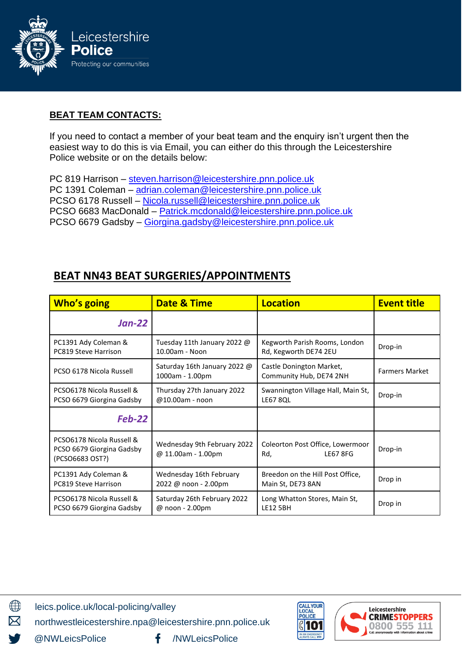

#### **BEAT TEAM CONTACTS:**

If you need to contact a member of your beat team and the enquiry isn't urgent then the easiest way to do this is via Email, you can either do this through the Leicestershire Police website or on the details below:

PC 819 Harrison - [steven.harrison@leicestershire.pnn.police.uk](mailto:steven.harrison@leicestershire.pnn.police.uk) PC 1391 Coleman - [adrian.coleman@leicestershire.pnn.police.uk](mailto:adrian.coleman@leicestershire.pnn.police.uk) PCSO 6178 Russell – [Nicola.russell@leicestershire.pnn.police.uk](mailto:Nicola.russell@leicestershire.pnn.police.uk) PCSO 6683 MacDonald – [Patrick.mcdonald@leicestershire.pnn.police.uk](mailto:Patrick.mcdonald@leicestershire.pnn.police.uk) PCSO 6679 Gadsby – [Giorgina.gadsby@leicestershire.pnn.police.uk](mailto:Giorgina.gadsby@leicestershire.pnn.police.uk)

## **BEAT NN43 BEAT SURGERIES/APPOINTMENTS**

| <b>Who's going</b>                                                        | <b>Date &amp; Time</b>                            | <b>Location</b>                                            | <b>Event title</b>    |
|---------------------------------------------------------------------------|---------------------------------------------------|------------------------------------------------------------|-----------------------|
| $Jan-22$                                                                  |                                                   |                                                            |                       |
| PC1391 Ady Coleman &<br>PC819 Steve Harrison                              | Tuesday 11th January 2022 @<br>10.00am - Noon     | Kegworth Parish Rooms, London<br>Rd, Kegworth DE74 2EU     | Drop-in               |
| PCSO 6178 Nicola Russell                                                  | Saturday 16th January 2022 @<br>1000am - 1.00pm   | Castle Donington Market,<br>Community Hub, DE74 2NH        | <b>Farmers Market</b> |
| PCSO6178 Nicola Russell &<br>PCSO 6679 Giorgina Gadsby                    | Thursday 27th January 2022<br>@10.00am - noon     | Swannington Village Hall, Main St,<br><b>LE67 8QL</b>      | Drop-in               |
| <b>Feb-22</b>                                                             |                                                   |                                                            |                       |
| PCSO6178 Nicola Russell &<br>PCSO 6679 Giorgina Gadsby<br>(PCSO6683 OST?) | Wednesday 9th February 2022<br>@ 11.00am - 1.00pm | Coleorton Post Office, Lowermoor<br><b>LE67 8FG</b><br>Rd, | Drop-in               |
| PC1391 Ady Coleman &<br>PC819 Steve Harrison                              | Wednesday 16th February<br>2022 @ noon - 2.00pm   | Breedon on the Hill Post Office,<br>Main St, DE73 8AN      | Drop in               |
| PCSO6178 Nicola Russell &<br>PCSO 6679 Giorgina Gadsby                    | Saturday 26th February 2022<br>@ noon - 2.00pm    | Long Whatton Stores, Main St,<br><b>LE12 5BH</b>           | Drop in               |

leics.police.uk/local-policing/valley

northwestleicestershire.npa@leicestershire.pnn.police.uk

@NWLeicsPolice /NWLeicsPolice

 $\bigoplus$ 

X